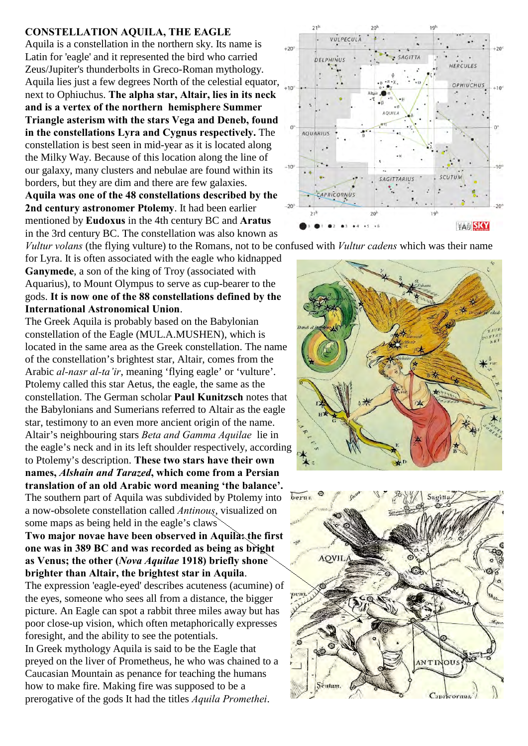## **CONSTELLATION AQUILA, THE EAGLE**

Aquila is a constellation in the northern sky. Its name is Latin for 'eagle' and it represented the bird who carried Zeus/Jupiter's thunderbolts in Greco-Roman mythology. Aquila lies just a few degrees North of the celestial equator, next to Ophiuchus. **The alpha star, Altair, lies in its neck and is a vertex of the northern hemisphere Summer Triangle asterism with the stars Vega and Deneb, found in the constellations Lyra and Cygnus respectively.** The constellation is best seen in mid-year as it is located along the Milky Way. Because of this location along the line of our galaxy, many clusters and nebulae are found within its borders, but they are dim and there are few galaxies. **Aquila was one of the 48 constellations described by the**

**2nd century astronomer Ptolemy**. It had been earlier mentioned by **Eudoxus** in the 4th century BC and **Aratus** in the 3rd century BC. The constellation was also known as

for Lyra. It is often associated with the eagle who kidnapped **Ganymede**, a son of the king of Troy (associated with Aquarius), to Mount Olympus to serve as cup-bearer to the gods. **It is now one of the 88 constellations defined by the International Astronomical Union**.

The Greek Aquila is probably based on the Babylonian constellation of the Eagle (MUL.A.MUSHEN), which is located in the same area as the Greek constellation. The name of the constellation's brightest star, Altair, comes from the Arabic *al-nasr al-ta'ir*, meaning 'flying eagle' or 'vulture'. Ptolemy called this star Aetus, the eagle, the same as the constellation. The German scholar **Paul Kunitzsch** notes that the Babylonians and Sumerians referred to Altair as the eagle star, testimony to an even more ancient origin of the name. Altair's neighbouring stars *Beta and Gamma Aquilae* lie in the eagle's neck and in its left shoulder respectively, according to Ptolemy's description. **These two stars have their own names,** *Alshain and Tarazed***, which come from a Persian translation of an old Arabic word meaning 'the balance'.**  The southern part of Aquila was subdivided by Ptolemy into a now-obsolete constellation called *Antinous*, visualized on some maps as being held in the eagle's claws

**Two major novae have been observed in Aquila: the first one was in 389 BC and was recorded as being as bright as Venus; the other (***Nova Aquilae* **1918) briefly shone brighter than Altair, the brightest star in Aquila**.

The expression 'eagle-eyed' describes acuteness (acumine) of the eyes, someone who sees all from a distance, the bigger picture. An Eagle can spot a rabbit three miles away but has poor close-up vision, which often metaphorically expresses foresight, and the ability to see the potentials. In Greek mythology Aquila is said to be the Eagle that preyed on the liver of Prometheus, he who was chained to a Caucasian Mountain as penance for teaching the humans how to make fire. Making fire was supposed to be a prerogative of the gods It had the titles *Aquila Promethei*.



*Vultur volans* (the flying vulture) to the Romans, not to be confused with *Vultur cadens* which was their name